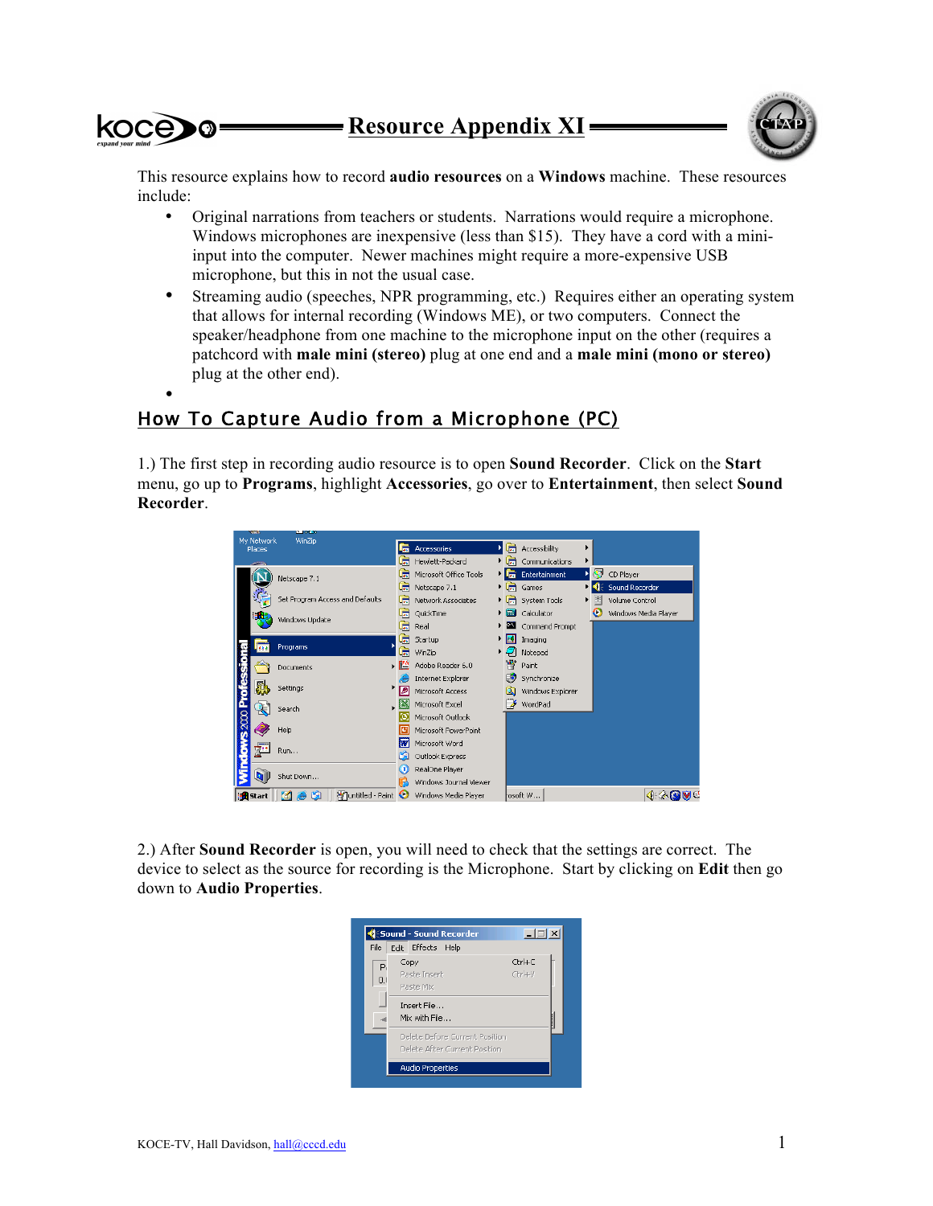

This resource explains how to record **audio resources** on a **Windows** machine. These resources include:

- Original narrations from teachers or students. Narrations would require a microphone. Windows microphones are inexpensive (less than \$15). They have a cord with a miniinput into the computer. Newer machines might require a more-expensive USB microphone, but this in not the usual case.
- Streaming audio (speeches, NPR programming, etc.) Requires either an operating system that allows for internal recording (Windows ME), or two computers. Connect the speaker/headphone from one machine to the microphone input on the other (requires a patchcord with **male mini (stereo)** plug at one end and a **male mini (mono or stereo)** plug at the other end).

## • How To Capture Audio from a Microphone (PC)

1.) The first step in recording audio resource is to open **Sound Recorder**. Click on the **Start** menu, go up to **Programs**, highlight **Accessories**, go over to **Entertainment**, then select **Sound Recorder**.



2.) After **Sound Recorder** is open, you will need to check that the settings are correct. The device to select as the source for recording is the Microphone. Start by clicking on **Edit** then go down to **Audio Properties**.